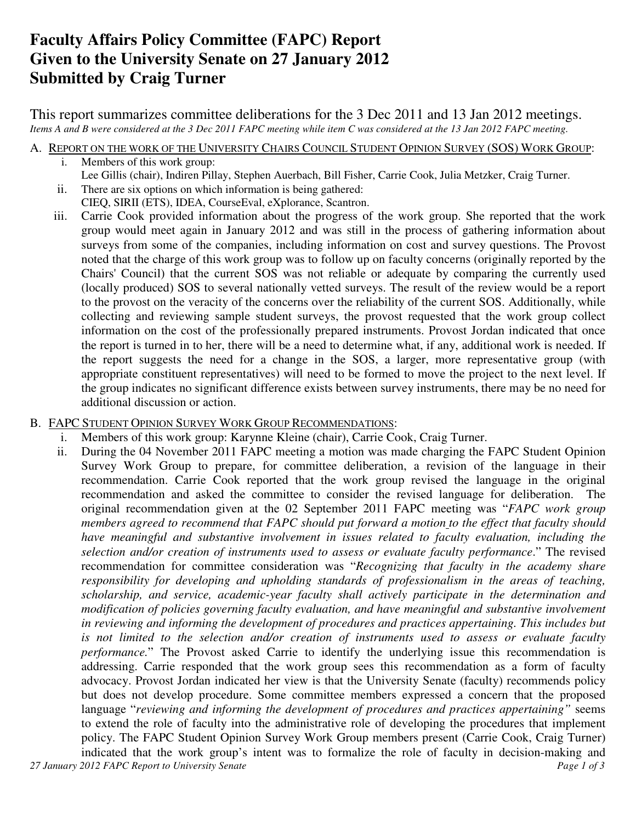# **Faculty Affairs Policy Committee (FAPC) Report Given to the University Senate on 27 January 2012 Submitted by Craig Turner**

This report summarizes committee deliberations for the 3 Dec 2011 and 13 Jan 2012 meetings. *Items A and B were considered at the 3 Dec 2011 FAPC meeting while item C was considered at the 13 Jan 2012 FAPC meeting.* 

A. REPORT ON THE WORK OF THE UNIVERSITY CHAIRS COUNCIL STUDENT OPINION SURVEY (SOS) WORK GROUP:

- i. Members of this work group: Lee Gillis (chair), Indiren Pillay, Stephen Auerbach, Bill Fisher, Carrie Cook, Julia Metzker, Craig Turner.
- ii. There are six options on which information is being gathered:
	- CIEQ, SIRII (ETS), IDEA, CourseEval, eXplorance, Scantron.
- iii. Carrie Cook provided information about the progress of the work group. She reported that the work group would meet again in January 2012 and was still in the process of gathering information about surveys from some of the companies, including information on cost and survey questions. The Provost noted that the charge of this work group was to follow up on faculty concerns (originally reported by the Chairs' Council) that the current SOS was not reliable or adequate by comparing the currently used (locally produced) SOS to several nationally vetted surveys. The result of the review would be a report to the provost on the veracity of the concerns over the reliability of the current SOS. Additionally, while collecting and reviewing sample student surveys, the provost requested that the work group collect information on the cost of the professionally prepared instruments. Provost Jordan indicated that once the report is turned in to her, there will be a need to determine what, if any, additional work is needed. If the report suggests the need for a change in the SOS, a larger, more representative group (with appropriate constituent representatives) will need to be formed to move the project to the next level. If the group indicates no significant difference exists between survey instruments, there may be no need for additional discussion or action.

## B. FAPC STUDENT OPINION SURVEY WORK GROUP RECOMMENDATIONS:

- i. Members of this work group: Karynne Kleine (chair), Carrie Cook, Craig Turner.
- *27 January 2012 FAPC Report to University Senate Page 1 of 3*  ii. During the 04 November 2011 FAPC meeting a motion was made charging the FAPC Student Opinion Survey Work Group to prepare, for committee deliberation, a revision of the language in their recommendation. Carrie Cook reported that the work group revised the language in the original recommendation and asked the committee to consider the revised language for deliberation. The original recommendation given at the 02 September 2011 FAPC meeting was "*FAPC work group members agreed to recommend that FAPC should put forward a motion to the effect that faculty should have meaningful and substantive involvement in issues related to faculty evaluation, including the selection and/or creation of instruments used to assess or evaluate faculty performance*." The revised recommendation for committee consideration was "*Recognizing that faculty in the academy share responsibility for developing and upholding standards of professionalism in the areas of teaching, scholarship, and service, academic-year faculty shall actively participate in the determination and modification of policies governing faculty evaluation, and have meaningful and substantive involvement in reviewing and informing the development of procedures and practices appertaining. This includes but is not limited to the selection and/or creation of instruments used to assess or evaluate faculty performance.*" The Provost asked Carrie to identify the underlying issue this recommendation is addressing. Carrie responded that the work group sees this recommendation as a form of faculty advocacy. Provost Jordan indicated her view is that the University Senate (faculty) recommends policy but does not develop procedure. Some committee members expressed a concern that the proposed language "*reviewing and informing the development of procedures and practices appertaining"* seems to extend the role of faculty into the administrative role of developing the procedures that implement policy. The FAPC Student Opinion Survey Work Group members present (Carrie Cook, Craig Turner) indicated that the work group's intent was to formalize the role of faculty in decision-making and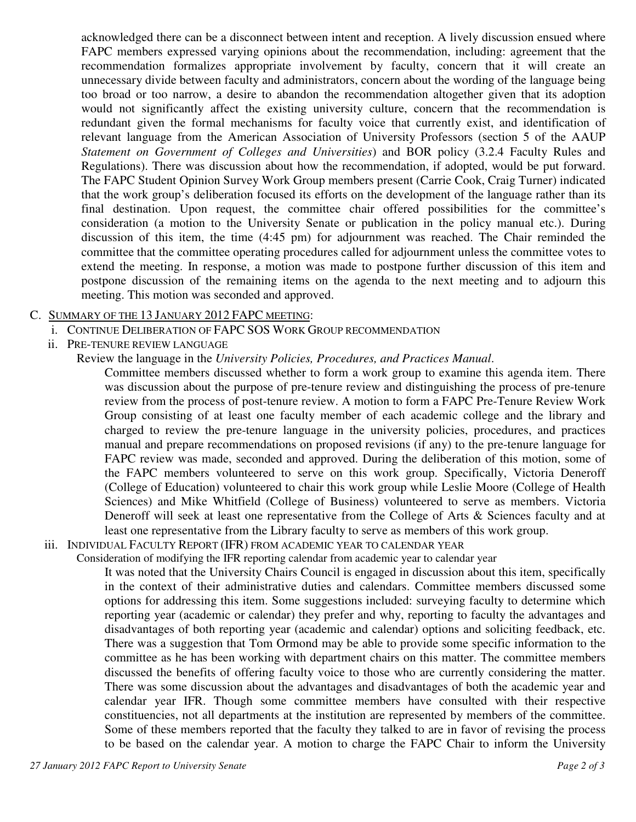acknowledged there can be a disconnect between intent and reception. A lively discussion ensued where FAPC members expressed varying opinions about the recommendation, including: agreement that the recommendation formalizes appropriate involvement by faculty, concern that it will create an unnecessary divide between faculty and administrators, concern about the wording of the language being too broad or too narrow, a desire to abandon the recommendation altogether given that its adoption would not significantly affect the existing university culture, concern that the recommendation is redundant given the formal mechanisms for faculty voice that currently exist, and identification of relevant language from the American Association of University Professors (section 5 of the AAUP *Statement on Government of Colleges and Universities*) and BOR policy (3.2.4 Faculty Rules and Regulations). There was discussion about how the recommendation, if adopted, would be put forward. The FAPC Student Opinion Survey Work Group members present (Carrie Cook, Craig Turner) indicated that the work group's deliberation focused its efforts on the development of the language rather than its final destination. Upon request, the committee chair offered possibilities for the committee's consideration (a motion to the University Senate or publication in the policy manual etc.). During discussion of this item, the time (4:45 pm) for adjournment was reached. The Chair reminded the committee that the committee operating procedures called for adjournment unless the committee votes to extend the meeting. In response, a motion was made to postpone further discussion of this item and postpone discussion of the remaining items on the agenda to the next meeting and to adjourn this meeting. This motion was seconded and approved.

### C. SUMMARY OF THE 13 JANUARY 2012 FAPC MEETING:

- i. CONTINUE DELIBERATION OF FAPC SOS WORK GROUP RECOMMENDATION
- ii. PRE-TENURE REVIEW LANGUAGE
	- Review the language in the *University Policies, Procedures, and Practices Manual*.

Committee members discussed whether to form a work group to examine this agenda item. There was discussion about the purpose of pre-tenure review and distinguishing the process of pre-tenure review from the process of post-tenure review. A motion to form a FAPC Pre-Tenure Review Work Group consisting of at least one faculty member of each academic college and the library and charged to review the pre-tenure language in the university policies, procedures, and practices manual and prepare recommendations on proposed revisions (if any) to the pre-tenure language for FAPC review was made, seconded and approved. During the deliberation of this motion, some of the FAPC members volunteered to serve on this work group. Specifically, Victoria Deneroff (College of Education) volunteered to chair this work group while Leslie Moore (College of Health Sciences) and Mike Whitfield (College of Business) volunteered to serve as members. Victoria Deneroff will seek at least one representative from the College of Arts & Sciences faculty and at least one representative from the Library faculty to serve as members of this work group.

iii. INDIVIDUAL FACULTY REPORT (IFR) FROM ACADEMIC YEAR TO CALENDAR YEAR

Consideration of modifying the IFR reporting calendar from academic year to calendar year

It was noted that the University Chairs Council is engaged in discussion about this item, specifically in the context of their administrative duties and calendars. Committee members discussed some options for addressing this item. Some suggestions included: surveying faculty to determine which reporting year (academic or calendar) they prefer and why, reporting to faculty the advantages and disadvantages of both reporting year (academic and calendar) options and soliciting feedback, etc. There was a suggestion that Tom Ormond may be able to provide some specific information to the committee as he has been working with department chairs on this matter. The committee members discussed the benefits of offering faculty voice to those who are currently considering the matter. There was some discussion about the advantages and disadvantages of both the academic year and calendar year IFR. Though some committee members have consulted with their respective constituencies, not all departments at the institution are represented by members of the committee. Some of these members reported that the faculty they talked to are in favor of revising the process to be based on the calendar year. A motion to charge the FAPC Chair to inform the University